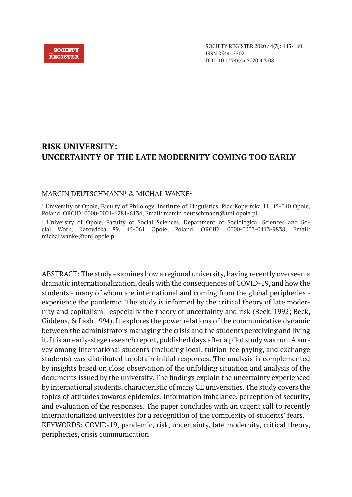#### **SOCIETY REGISTER**

SOCIETY REGISTER 2020 / 4(3): 145-160 ISSN 2544–5502 DOI: 10.14746/sr.2020.4.3.08

# **RISK UNIVERSITY: UNCERTAINTY OF THE LATE MODERNITY COMING TOO EARLY**

## MARCIN DEUTSCHMANN1 & MICHAŁ WANKE<sup>2</sup>

1 University of Opole, Faculty of Philology, Institute of Linguistics, Plac Kopernika 11, 45-040 Opole, Poland. ORCID: 0000-0001-6281-6134, Email: marcin.deutschmann@uni.opole.pl

2 University of Opole, Faculty of Social Sciences, Department of Sociological Sciences and Social Work, Katowicka 89, 45-061 Opole, Poland. ORCID: 0000-0003-0413-9838, Email: michal.wanke@uni.opole.pl

ABSTRACT: The study examines how a regional university, having recently overseen a dramatic internationalization, deals with the consequences of COVID-19, and how the students - many of whom are international and coming from the global peripheries experience the pandemic. The study is informed by the critical theory of late modernity and capitalism - especially the theory of uncertainty and risk (Beck, 1992; Beck, Giddens, & Lash 1994). It explores the power relations of the communicative dynamic between the administrators managing the crisis and the students perceiving and living it. It is an early-stage research report, published days after a pilot study was run. A survey among international students (including local, tuition-fee paying, and exchange students) was distributed to obtain initial responses. The analysis is complemented by insights based on close observation of the unfolding situation and analysis of the documents issued by the university. The findings explain the uncertainty experienced by international students, characteristic of many CE universities. The study covers the topics of attitudes towards epidemics, information imbalance, perception of security, and evaluation of the responses. The paper concludes with an urgent call to recently internationalized universities for a recognition of the complexity of students' fears. KEYWORDS: COVID-19, pandemic, risk, uncertainty, late modernity, critical theory, peripheries, crisis communication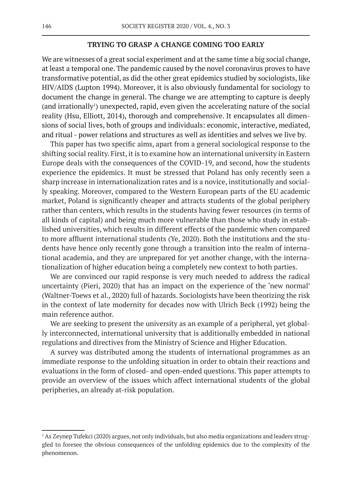#### **TRYING TO GRASP A CHANGE COMING TOO EARLY**

We are witnesses of a great social experiment and at the same time a big social change, at least a temporal one. The pandemic caused by the novel coronavirus proves to have transformative potential, as did the other great epidemics studied by sociologists, like HIV/AIDS (Lupton 1994). Moreover, it is also obviously fundamental for sociology to document the change in general. The change we are attempting to capture is deeply (and irrationally<sup>1</sup>) unexpected, rapid, even given the accelerating nature of the social reality (Hsu, Elliott, 2014), thorough and comprehensive. It encapsulates all dimensions of social lives, both of groups and individuals: economic, interactive, mediated, and ritual - power relations and structures as well as identities and selves we live by.

This paper has two specific aims, apart from a general sociological response to the shifting social reality. First, it is to examine how an international university in Eastern Europe deals with the consequences of the COVID-19, and second, how the students experience the epidemics. It must be stressed that Poland has only recently seen a sharp increase in internationalization rates and is a novice, institutionally and socially speaking. Moreover, compared to the Western European parts of the EU academic market, Poland is significantly cheaper and attracts students of the global periphery rather than centers, which results in the students having fewer resources (in terms of all kinds of capital) and being much more vulnerable than those who study in established universities, which results in different effects of the pandemic when compared to more affluent international students (Ye, 2020). Both the institutions and the students have hence only recently gone through a transition into the realm of international academia, and they are unprepared for yet another change, with the internationalization of higher education being a completely new context to both parties.

We are convinced our rapid response is very much needed to address the radical uncertainty (Pieri, 2020) that has an impact on the experience of the 'new normal' (Waltner-Toews et al., 2020) full of hazards. Sociologists have been theorizing the risk in the context of late modernity for decades now with Ulrich Beck (1992) being the main reference author.

We are seeking to present the university as an example of a peripheral, yet globally interconnected, international university that is additionally embedded in national regulations and directives from the Ministry of Science and Higher Education.

A survey was distributed among the students of international programmes as an immediate response to the unfolding situation in order to obtain their reactions and evaluations in the form of closed- and open-ended questions. This paper attempts to provide an overview of the issues which affect international students of the global peripheries, an already at-risk population.

<sup>1</sup> As Zeynep Tufekci (2020) argues, not only individuals, but also media organizations and leaders struggled to foresee the obvious consequences of the unfolding epidemics due to the complexity of the phenomenon.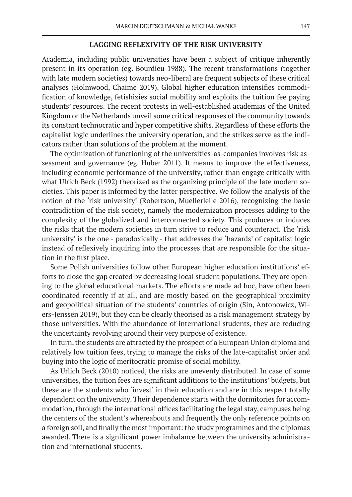#### **LAGGING REFLEXIVITY OF THE RISK UNIVERSITY**

Academia, including public universities have been a subject of critique inherently present in its operation (eg. Bourdieu 1988). The recent transformations (together with late modern societies) towards neo-liberal are frequent subjects of these critical analyses (Holmwood, Chaime 2019). Global higher education intensifies commodification of knowledge, fetishizies social mobility and exploits the tuition fee paying students' resources. The recent protests in well-established academias of the United Kingdom or the Netherlands unveil some critical responses of the community towards its constant technocratic and hyper competitive shifts. Regardless of these efforts the capitalist logic underlines the university operation, and the strikes serve as the indicators rather than solutions of the problem at the moment.

The optimization of functioning of the universities-as-companies involves risk assessment and governance (eg. Huber 2011). It means to improve the effectiveness, including economic performance of the university, rather than engage critically with what Ulrich Beck (1992) theorized as the organizing principle of the late modern societies. This paper is informed by the latter perspective. We follow the analysis of the notion of the 'risk university' (Robertson, Muellerleile 2016), recognizing the basic contradiction of the risk society, namely the modernization processes adding to the complexity of the globalized and interconnected society. This produces or induces the risks that the modern societies in turn strive to reduce and counteract. The 'risk university' is the one - paradoxically - that addresses the 'hazards' of capitalist logic instead of reflexively inquiring into the processes that are responsible for the situation in the first place.

Some Polish universities follow other European higher education institutions' efforts to close the gap created by decreasing local student populations. They are opening to the global educational markets. The efforts are made ad hoc, have often been coordinated recently if at all, and are mostly based on the geographical proximity and geopolitical situation of the students' countries of origin (Sin, Antonowicz, Wiers-Jenssen 2019), but they can be clearly theorised as a risk management strategy by those universities. With the abundance of international students, they are reducing the uncertainty revolving around their very purpose of existence.

In turn, the students are attracted by the prospect of a European Union diploma and relatively low tuition fees, trying to manage the risks of the late-capitalist order and buying into the logic of meritocratic promise of social mobility.

As Urlich Beck (2010) noticed, the risks are unevenly distributed. In case of some universities, the tuition fees are significant additions to the institutions' budgets, but these are the students who 'invest' in their education and are in this respect totally dependent on the university. Their dependence starts with the dormitories for accommodation, through the international offices facilitating the legal stay, campuses being the centers of the student's whereabouts and frequently the only reference points on a foreign soil, and finally the most important: the study programmes and the diplomas awarded. There is a significant power imbalance between the university administration and international students.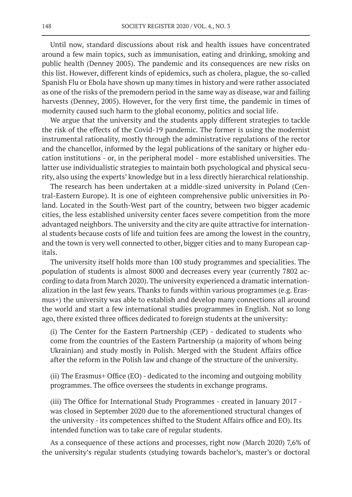Until now, standard discussions about risk and health issues have concentrated around a few main topics, such as immunisation, eating and drinking, smoking and public health (Denney 2005). The pandemic and its consequences are new risks on this list. However, different kinds of epidemics, such as cholera, plague, the so-called Spanish Flu or Ebola have shown up many times in history and were rather associated as one of the risks of the premodern period in the same way as disease, war and failing harvests (Denney, 2005). However, for the very first time, the pandemic in times of modernity caused such harm to the global economy, politics and social life.

We argue that the university and the students apply different strategies to tackle the risk of the effects of the Covid-19 pandemic. The former is using the modernist instrumental rationality, mostly through the administrative regulations of the rector and the chancellor, informed by the legal publications of the sanitary or higher education institutions - or, in the peripheral model - more established universities. The latter use individualistic strategies to maintain both psychological and physical security, also using the experts' knowledge but in a less directly hierarchical relationship.

The research has been undertaken at a middle-sized university in Poland (Central-Eastern Europe). It is one of eighteen comprehensive public universities in Poland. Located in the South-West part of the country, between two bigger academic cities, the less established university center faces severe competition from the more advantaged neighbors. The university and the city are quite attractive for international students because costs of life and tuition fees are among the lowest in the country, and the town is very well connected to other, bigger cities and to many European capitals.

The university itself holds more than 100 study programmes and specialities. The population of students is almost 8000 and decreases every year (currently 7802 according to data from March 2020). The university experienced a dramatic internationalization in the last few years. Thanks to funds within various programmes (e.g. Erasmus+) the university was able to establish and develop many connections all around the world and start a few international studies programmes in English. Not so long ago, there existed three offices dedicated to foreign students at the university:

(i) The Center for the Eastern Partnership (CEP) - dedicated to students who come from the countries of the Eastern Partnership (a majority of whom being Ukrainian) and study mostly in Polish. Merged with the Student Affairs office after the reform in the Polish law and change of the structure of the university.

(ii) The Erasmus+ Office (EO) - dedicated to the incoming and outgoing mobility programmes. The office oversees the students in exchange programs.

(iii) The Office for International Study Programmes - created in January 2017 was closed in September 2020 due to the aforementioned structural changes of the university - its competences shifted to the Student Affairs office and EO). Its intended function was to take care of regular students.

As a consequence of these actions and processes, right now (March 2020) 7,6% of the university's regular students (studying towards bachelor's, master's or doctoral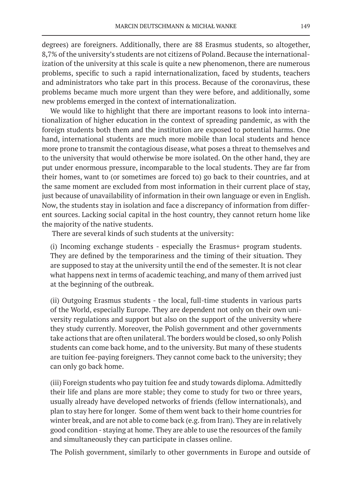degrees) are foreigners. Additionally, there are 88 Erasmus students, so altogether, 8,7% of the university's students are not citizens of Poland. Because the internationalization of the university at this scale is quite a new phenomenon, there are numerous problems, specific to such a rapid internationalization, faced by students, teachers and administrators who take part in this process. Because of the coronavirus, these problems became much more urgent than they were before, and additionally, some new problems emerged in the context of internationalization.

We would like to highlight that there are important reasons to look into internationalization of higher education in the context of spreading pandemic, as with the foreign students both them and the institution are exposed to potential harms. One hand, international students are much more mobile than local students and hence more prone to transmit the contagious disease, what poses a threat to themselves and to the university that would otherwise be more isolated. On the other hand, they are put under enormous pressure, incomparable to the local students. They are far from their homes, want to (or sometimes are forced to) go back to their countries, and at the same moment are excluded from most information in their current place of stay, just because of unavailability of information in their own language or even in English. Now, the students stay in isolation and face a discrepancy of information from different sources. Lacking social capital in the host country, they cannot return home like the majority of the native students.

There are several kinds of such students at the university:

(i) Incoming exchange students - especially the Erasmus+ program students. They are defined by the temporariness and the timing of their situation. They are supposed to stay at the university until the end of the semester. It is not clear what happens next in terms of academic teaching, and many of them arrived just at the beginning of the outbreak.

(ii) Outgoing Erasmus students - the local, full-time students in various parts of the World, especially Europe. They are dependent not only on their own university regulations and support but also on the support of the university where they study currently. Moreover, the Polish government and other governments take actions that are often unilateral. The borders would be closed, so only Polish students can come back home, and to the university. But many of these students are tuition fee-paying foreigners. They cannot come back to the university; they can only go back home.

(iii) Foreign students who pay tuition fee and study towards diploma. Admittedly their life and plans are more stable; they come to study for two or three years, usually already have developed networks of friends (fellow internationals), and plan to stay here for longer. Some of them went back to their home countries for winter break, and are not able to come back (e.g. from Iran). They are in relatively good condition - staying at home. They are able to use the resources of the family and simultaneously they can participate in classes online.

The Polish government, similarly to other governments in Europe and outside of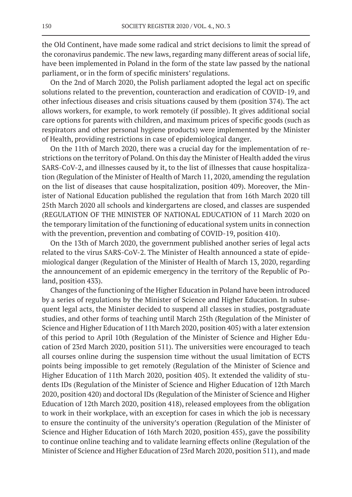the Old Continent, have made some radical and strict decisions to limit the spread of the coronavirus pandemic. The new laws, regarding many different areas of social life, have been implemented in Poland in the form of the state law passed by the national parliament, or in the form of specific ministers' regulations.

On the 2nd of March 2020, the Polish parliament adopted the legal act on specific solutions related to the prevention, counteraction and eradication of COVID-19, and other infectious diseases and crisis situations caused by them (position 374). The act allows workers, for example, to work remotely (if possible). It gives additional social care options for parents with children, and maximum prices of specific goods (such as respirators and other personal hygiene products) were implemented by the Minister of Health, providing restrictions in case of epidemiological danger.

On the 11th of March 2020, there was a crucial day for the implementation of restrictions on the territory of Poland. On this day the Minister of Health added the virus SARS-CoV-2, and illnesses caused by it, to the list of illnesses that cause hospitalization (Regulation of the Minister of Health of March 11, 2020, amending the regulation on the list of diseases that cause hospitalization, position 409). Moreover, the Minister of National Education published the regulation that from 16th March 2020 till 25th March 2020 all schools and kindergartens are closed, and classes are suspended (REGULATION OF THE MINISTER OF NATIONAL EDUCATION of 11 March 2020 on the temporary limitation of the functioning of educational system units in connection with the prevention, prevention and combating of COVID-19, position 410).

On the 13th of March 2020, the government published another series of legal acts related to the virus SARS-CoV-2. The Minister of Health announced a state of epidemiological danger (Regulation of the Minister of Health of March 13, 2020, regarding the announcement of an epidemic emergency in the territory of the Republic of Poland, position 433).

Changes of the functioning of the Higher Education in Poland have been introduced by a series of regulations by the Minister of Science and Higher Education. In subsequent legal acts, the Minister decided to suspend all classes in studies, postgraduate studies, and other forms of teaching until March 25th (Regulation of the Minister of Science and Higher Education of 11th March 2020, position 405) with a later extension of this period to April 10th (Regulation of the Minister of Science and Higher Education of 23rd March 2020, position 511). The universities were encouraged to teach all courses online during the suspension time without the usual limitation of ECTS points being impossible to get remotely (Regulation of the Minister of Science and Higher Education of 11th March 2020, position 405). It extended the validity of students IDs (Regulation of the Minister of Science and Higher Education of 12th March 2020, position 420) and doctoral IDs (Regulation of the Minister of Science and Higher Education of 12th March 2020, position 418), released employees from the obligation to work in their workplace, with an exception for cases in which the job is necessary to ensure the continuity of the university's operation (Regulation of the Minister of Science and Higher Education of 16th March 2020, position 455), gave the possibility to continue online teaching and to validate learning effects online (Regulation of the Minister of Science and Higher Education of 23rd March 2020, position 511), and made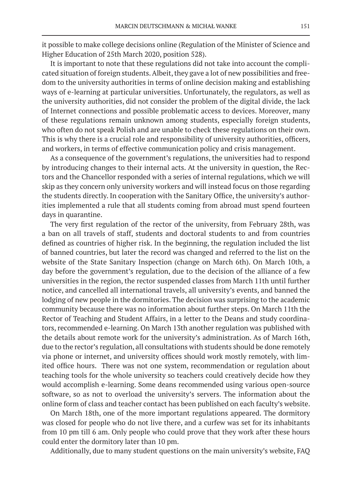it possible to make college decisions online (Regulation of the Minister of Science and Higher Education of 25th March 2020, position 528).

It is important to note that these regulations did not take into account the complicated situation of foreign students. Albeit, they gave a lot of new possibilities and freedom to the university authorities in terms of online decision making and establishing ways of e-learning at particular universities. Unfortunately, the regulators, as well as the university authorities, did not consider the problem of the digital divide, the lack of Internet connections and possible problematic access to devices. Moreover, many of these regulations remain unknown among students, especially foreign students, who often do not speak Polish and are unable to check these regulations on their own. This is why there is a crucial role and responsibility of university authorities, officers, and workers, in terms of effective communication policy and crisis management.

As a consequence of the government's regulations, the universities had to respond by introducing changes to their internal acts. At the university in question, the Rectors and the Chancellor responded with a series of internal regulations, which we will skip as they concern only university workers and will instead focus on those regarding the students directly. In cooperation with the Sanitary Office, the university's authorities implemented a rule that all students coming from abroad must spend fourteen days in quarantine.

The very first regulation of the rector of the university, from February 28th, was a ban on all travels of staff, students and doctoral students to and from countries defined as countries of higher risk. In the beginning, the regulation included the list of banned countries, but later the record was changed and referred to the list on the website of the State Sanitary Inspection (change on March 6th). On March 10th, a day before the government's regulation, due to the decision of the alliance of a few universities in the region, the rector suspended classes from March 11th until further notice, and cancelled all international travels, all university's events, and banned the lodging of new people in the dormitories. The decision was surprising to the academic community because there was no information about further steps. On March 11th the Rector of Teaching and Student Affairs, in a letter to the Deans and study coordinators, recommended e-learning. On March 13th another regulation was published with the details about remote work for the university's administration. As of March 16th, due to the rector's regulation, all consultations with students should be done remotely via phone or internet, and university offices should work mostly remotely, with limited office hours. There was not one system, recommendation or regulation about teaching tools for the whole university so teachers could creatively decide how they would accomplish e-learning. Some deans recommended using various open-source software, so as not to overload the university's servers. The information about the online form of class and teacher contact has been published on each faculty's website.

On March 18th, one of the more important regulations appeared. The dormitory was closed for people who do not live there, and a curfew was set for its inhabitants from 10 pm till 6 am. Only people who could prove that they work after these hours could enter the dormitory later than 10 pm.

Additionally, due to many student questions on the main university's website, FAQ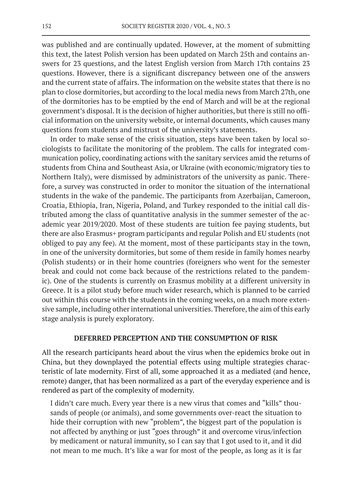was published and are continually updated. However, at the moment of submitting this text, the latest Polish version has been updated on March 25th and contains answers for 23 questions, and the latest English version from March 17th contains 23 questions. However, there is a significant discrepancy between one of the answers and the current state of affairs. The information on the website states that there is no plan to close dormitories, but according to the local media news from March 27th, one of the dormitories has to be emptied by the end of March and will be at the regional government's disposal. It is the decision of higher authorities, but there is still no official information on the university website, or internal documents, which causes many questions from students and mistrust of the university's statements.

In order to make sense of the crisis situation, steps have been taken by local sociologists to facilitate the monitoring of the problem. The calls for integrated communication policy, coordinating actions with the sanitary services amid the returns of students from China and Southeast Asia, or Ukraine (with economic/migratory ties to Northern Italy), were dismissed by administrators of the university as panic. Therefore, a survey was constructed in order to monitor the situation of the international students in the wake of the pandemic. The participants from Azerbaijan, Cameroon, Croatia, Ethiopia, Iran, Nigeria, Poland, and Turkey responded to the initial call distributed among the class of quantitative analysis in the summer semester of the academic year 2019/2020. Most of these students are tuition fee paying students, but there are also Erasmus+ program participants and regular Polish and EU students (not obliged to pay any fee). At the moment, most of these participants stay in the town, in one of the university dormitories, but some of them reside in family homes nearby (Polish students) or in their home countries (foreigners who went for the semester break and could not come back because of the restrictions related to the pandemic). One of the students is currently on Erasmus mobility at a different university in Greece. It is a pilot study before much wider research, which is planned to be carried out within this course with the students in the coming weeks, on a much more extensive sample, including other international universities. Therefore, the aim of this early stage analysis is purely exploratory.

### **DEFERRED PERCEPTION AND THE CONSUMPTION OF RISK**

All the research participants heard about the virus when the epidemics broke out in China, but they downplayed the potential effects using multiple strategies characteristic of late modernity. First of all, some approached it as a mediated (and hence, remote) danger, that has been normalized as a part of the everyday experience and is rendered as part of the complexity of modernity.

I didn't care much. Every year there is a new virus that comes and "kills" thousands of people (or animals), and some governments over-react the situation to hide their corruption with new "problem", the biggest part of the population is not affected by anything or just "goes through" it and overcome virus/infection by medicament or natural immunity, so I can say that I got used to it, and it did not mean to me much. It's like a war for most of the people, as long as it is far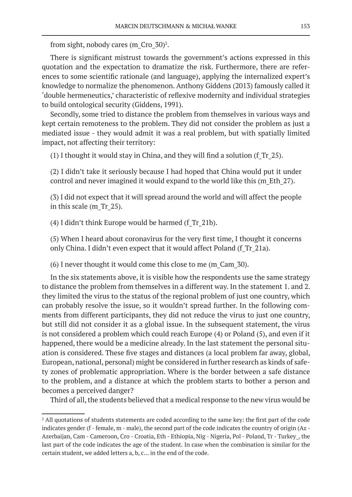from sight, nobody cares (m\_Cro\_30)<sup>2</sup>.

There is significant mistrust towards the government's actions expressed in this quotation and the expectation to dramatize the risk. Furthermore, there are references to some scientific rationale (and language), applying the internalized expert's knowledge to normalize the phenomenon. Anthony Giddens (2013) famously called it 'double hermeneutics,' characteristic of reflexive modernity and individual strategies to build ontological security (Giddens, 1991).

Secondly, some tried to distance the problem from themselves in various ways and kept certain remoteness to the problem. They did not consider the problem as just a mediated issue - they would admit it was a real problem, but with spatially limited impact, not affecting their territory:

(1) I thought it would stay in China, and they will find a solution (f\_Tr\_25).

(2) I didn't take it seriously because I had hoped that China would put it under control and never imagined it would expand to the world like this (m\_Eth\_27).

(3) I did not expect that it will spread around the world and will affect the people in this scale (m\_Tr\_25).

(4) I didn't think Europe would be harmed (f\_Tr\_21b).

(5) When I heard about coronavirus for the very first time, I thought it concerns only China. I didn't even expect that it would affect Poland (f\_Tr\_21a).

(6) I never thought it would come this close to me (m\_Cam\_30).

In the six statements above, it is visible how the respondents use the same strategy to distance the problem from themselves in a different way. In the statement 1. and 2. they limited the virus to the status of the regional problem of just one country, which can probably resolve the issue, so it wouldn't spread further. In the following comments from different participants, they did not reduce the virus to just one country, but still did not consider it as a global issue. In the subsequent statement, the virus is not considered a problem which could reach Europe (4) or Poland (5), and even if it happened, there would be a medicine already. In the last statement the personal situation is considered. These five stages and distances (a local problem far away, global, European, national, personal) might be considered in further research as kinds of safety zones of problematic appropriation. Where is the border between a safe distance to the problem, and a distance at which the problem starts to bother a person and becomes a perceived danger?

Third of all, the students believed that a medical response to the new virus would be

<sup>&</sup>lt;sup>2</sup> All quotations of students statements are coded according to the same key: the first part of the code indicates gender (f - female, m - male), the second part of the code indicates the country of origin (Az -Azerbaijan, Cam - Cameroon, Cro - Croatia, Eth - Ethiopia, Nig - Nigeria, Pol - Poland, Tr - Turkey, the last part of the code indicates the age of the student. In case when the combination is similar for the certain student, we added letters a, b, c… in the end of the code.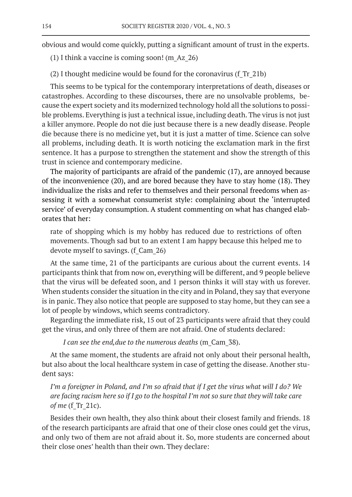obvious and would come quickly, putting a significant amount of trust in the experts.

(1) I think a vaccine is coming soon! (m\_Az\_26)

(2) I thought medicine would be found for the coronavirus (f\_Tr\_21b)

This seems to be typical for the contemporary interpretations of death, diseases or catastrophes. According to these discourses, there are no unsolvable problems, because the expert society and its modernized technology hold all the solutions to possible problems. Everything is just a technical issue, including death. The virus is not just a killer anymore. People do not die just because there is a new deadly disease. People die because there is no medicine yet, but it is just a matter of time. Science can solve all problems, including death. It is worth noticing the exclamation mark in the first sentence. It has a purpose to strengthen the statement and show the strength of this trust in science and contemporary medicine.

The majority of participants are afraid of the pandemic (17), are annoyed because of the inconvenience (20), and are bored because they have to stay home (18). They individualize the risks and refer to themselves and their personal freedoms when assessing it with a somewhat consumerist style: complaining about the 'interrupted service' of everyday consumption. A student commenting on what has changed elaborates that her:

rate of shopping which is my hobby has reduced due to restrictions of often movements. Though sad but to an extent I am happy because this helped me to devote myself to savings. (f\_Cam\_26)

At the same time, 21 of the participants are curious about the current events. 14 participants think that from now on, everything will be different, and 9 people believe that the virus will be defeated soon, and 1 person thinks it will stay with us forever. When students consider the situation in the city and in Poland, they say that everyone is in panic. They also notice that people are supposed to stay home, but they can see a lot of people by windows, which seems contradictory.

Regarding the immediate risk, 15 out of 23 participants were afraid that they could get the virus, and only three of them are not afraid. One of students declared:

*I can see the end, due to the numerous deaths (m\_Cam 38).* 

At the same moment, the students are afraid not only about their personal health, but also about the local healthcare system in case of getting the disease. Another student says:

*I'm a foreigner in Poland, and I'm so afraid that if I get the virus what will I do? We are facing racism here so if I go to the hospital I'm not so sure that they will take care of me* (f\_Tr\_21c).

Besides their own health, they also think about their closest family and friends. 18 of the research participants are afraid that one of their close ones could get the virus, and only two of them are not afraid about it. So, more students are concerned about their close ones' health than their own. They declare: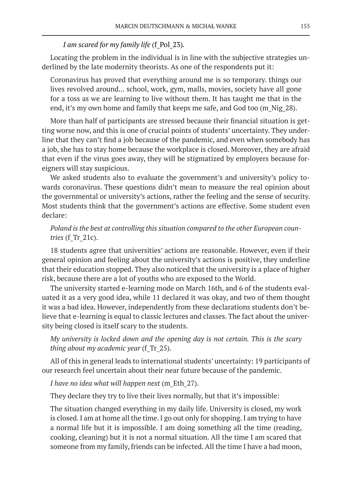## *I am scared for my family life* (f\_Pol\_23)*.*

Locating the problem in the individual is in line with the subjective strategies underlined by the late modernity theorists. As one of the respondents put it:

Coronavirus has proved that everything around me is so temporary. things our lives revolved around... school, work, gym, malls, movies, society have all gone for a toss as we are learning to live without them. It has taught me that in the end, it's my own home and family that keeps me safe, and God too (m\_Nig\_28).

More than half of participants are stressed because their financial situation is getting worse now, and this is one of crucial points of students' uncertainty. They underline that they can't find a job because of the pandemic, and even when somebody has a job, she has to stay home because the workplace is closed. Moreover, they are afraid that even if the virus goes away, they will be stigmatized by employers because foreigners will stay suspicious.

We asked students also to evaluate the government's and university's policy towards coronavirus. These questions didn't mean to measure the real opinion about the governmental or university's actions, rather the feeling and the sense of security. Most students think that the government's actions are effective. Some student even declare:

## *Poland is the best at controlling this situation compared to the other European countries* (f\_Tr\_21c).

18 students agree that universities' actions are reasonable. However, even if their general opinion and feeling about the university's actions is positive, they underline that their education stopped. They also noticed that the university is a place of higher risk, because there are a lot of youths who are exposed to the World.

The university started e-learning mode on March 16th, and 6 of the students evaluated it as a very good idea, while 11 declared it was okay, and two of them thought it was a bad idea. However, independently from these declarations students don't believe that e-learning is equal to classic lectures and classes. The fact about the university being closed is itself scary to the students.

## *My university is locked down and the opening day is not certain. This is the scary thing about my academic year* (f\_Tr\_25).

All of this in general leads to international students' uncertainty: 19 participants of our research feel uncertain about their near future because of the pandemic.

*I have no idea what will happen next* (m\_Eth\_27).

They declare they try to live their lives normally, but that it's impossible:

The situation changed everything in my daily life. University is closed, my work is closed. I am at home all the time. I go out only for shopping. I am trying to have a normal life but it is impossible. I am doing something all the time (reading, cooking, cleaning) but it is not a normal situation. All the time I am scared that someone from my family, friends can be infected. All the time I have a bad moon,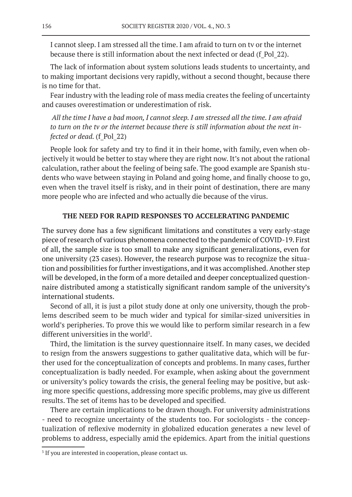I cannot sleep. I am stressed all the time. I am afraid to turn on tv or the internet because there is still information about the next infected or dead (f\_Pol\_22).

The lack of information about system solutions leads students to uncertainty, and to making important decisions very rapidly, without a second thought, because there is no time for that.

Fear industry with the leading role of mass media creates the feeling of uncertainty and causes overestimation or underestimation of risk.

 *All the time I have a bad moon, I cannot sleep. I am stressed all the time. I am afraid to turn on the tv or the internet because there is still information about the next infected or dead.* (f Pol 22)

People look for safety and try to find it in their home, with family, even when objectively it would be better to stay where they are right now. It's not about the rational calculation, rather about the feeling of being safe. The good example are Spanish students who wave between staying in Poland and going home, and finally choose to go, even when the travel itself is risky, and in their point of destination, there are many more people who are infected and who actually die because of the virus.

## **THE NEED FOR RAPID RESPONSES TO ACCELERATING PANDEMIC**

The survey done has a few significant limitations and constitutes a very early-stage piece of research of various phenomena connected to the pandemic of COVID-19. First of all, the sample size is too small to make any significant generalizations, even for one university (23 cases). However, the research purpose was to recognize the situation and possibilities for further investigations, and it was accomplished. Another step will be developed, in the form of a more detailed and deeper conceptualized questionnaire distributed among a statistically significant random sample of the university's international students.

Second of all, it is just a pilot study done at only one university, though the problems described seem to be much wider and typical for similar-sized universities in world's peripheries. To prove this we would like to perform similar research in a few different universities in the world<sup>3</sup>.

Third, the limitation is the survey questionnaire itself. In many cases, we decided to resign from the answers suggestions to gather qualitative data, which will be further used for the conceptualization of concepts and problems. In many cases, further conceptualization is badly needed. For example, when asking about the government or university's policy towards the crisis, the general feeling may be positive, but asking more specific questions, addressing more specific problems, may give us different results. The set of items has to be developed and specified.

There are certain implications to be drawn though. For university administrations - need to recognize uncertainty of the students too. For sociologists - the conceptualization of reflexive modernity in globalized education generates a new level of problems to address, especially amid the epidemics. Apart from the initial questions

<sup>&</sup>lt;sup>3</sup> If you are interested in cooperation, please contact us.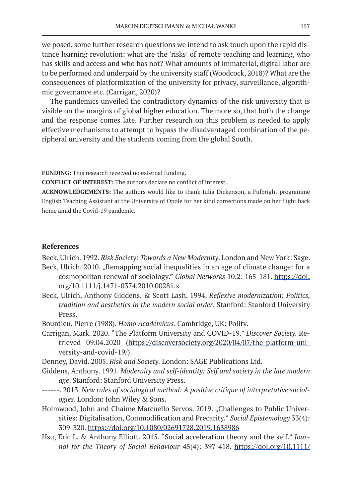we posed, some further research questions we intend to ask touch upon the rapid distance learning revolution: what are the 'risks' of remote teaching and learning, who has skills and access and who has not? What amounts of immaterial, digital labor are to be performed and underpaid by the university staff (Woodcock, 2018)? What are the consequences of platformization of the university for privacy, surveillance, algorithmic governance etc. (Carrigan, 2020)?

The pandemics unveiled the contradictory dynamics of the risk university that is visible on the margins of global higher education. The more so, that both the change and the response comes late. Further research on this problem is needed to apply effective mechanisms to attempt to bypass the disadvantaged combination of the peripheral university and the students coming from the global South.

**FUNDING:** This research received no external funding.

**CONFLICT OF INTEREST:** The authors declare no conflict of interest.

**ACKNOWLEDGEMENTS:** The authors would like to thank Julia Dickenson, a Fulbright programme English Teaching Assistant at the University of Opole for her kind corrections made on her flight back home amid the Covid-19 pandemic.

#### **References**

Beck, Ulrich. 1992. *Risk Society: Towards a New Modernity*. London and New York: Sage.

- Beck, Ulrich. 2010. "Remapping social inequalities in an age of climate change: for a cosmopolitan renewal of sociology." *Global Networks* 10.2: 165-181. https://doi. org/10.1111/j.1471-0374.2010.00281.x
- Beck, Ulrich, Anthony Giddens, & Scott Lash. 1994. *Reflexive modernization: Politics, tradition and aesthetics in the modern social order*. Stanford: Stanford University Press.
- Bourdieu, Pierre (1988). *Homo Academicus*. Cambridge, UK: Polity.
- Carrigan, Mark. 2020. "The Platform University and COVID-19." *Discover Society.* Retrieved 09.04.2020 (https://discoversociety.org/2020/04/07/the-platform-university-and-covid-19/).
- Denney, David. 2005. *Risk and Society.* London: SAGE Publications Ltd.
- Giddens, Anthony. 1991. *Modernity and self-identity: Self and society in the late modern age*. Stanford: Stanford University Press.
- ------. 2013. *New rules of sociological method: A positive critique of interpretative sociologies*. London: John Wiley & Sons.
- Holmwood, John and Chaime Marcuello Servos. 2019. "Challenges to Public Universities: Digitalisation, Commodification and Precarity." *Social Epistemology* 33(4): 309-320. https://doi.org/10.1080/02691728.2019.1638986
- Hsu, Eric L. & Anthony Elliott. 2015. "Social acceleration theory and the self." *Journal for the Theory of Social Behaviour* 45(4): 397-418. https://doi.org/10.1111/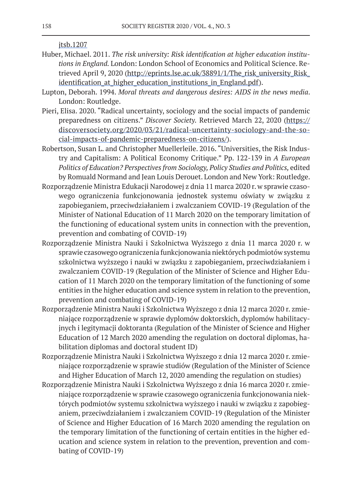jtsb.1207

- Huber, Michael. 2011. *The risk university: Risk identification at higher education institutions in England.* London: London School of Economics and Political Science. Retrieved April 9, 2020 (http://eprints.lse.ac.uk/38891/1/The\_risk\_university\_Risk\_ identification at higher education institutions in England.pdf).
- Lupton, Deborah. 1994. *Moral threats and dangerous desires: AIDS in the news media*. London: Routledge.
- Pieri, Elisa. 2020. "Radical uncertainty, sociology and the social impacts of pandemic preparedness on citizens." *Discover Society.* Retrieved March 22, 2020 (https:// discoversociety.org/2020/03/21/radical-uncertainty-sociology-and-the-social-impacts-of-pandemic-preparedness-on-citizens/).
- Robertson, Susan L. and Christopher Muellerleile. 2016. "Universities, the Risk Industry and Capitalism: A Political Economy Critique." Pp. 122-139 in *A European Politics of Education? Perspectives from Sociology, Policy Studies and Politics,* edited by Romuald Normand and Jean Louis Derouet. London and New York: Routledge.
- Rozporządzenie Ministra Edukacji Narodowej z dnia 11 marca 2020 r. w sprawie czasowego ograniczenia funkcjonowania jednostek systemu oświaty w związku z zapobieganiem, przeciwdziałaniem i zwalczaniem COVID-19 (Regulation of the Minister of National Education of 11 March 2020 on the temporary limitation of the functioning of educational system units in connection with the prevention, prevention and combating of COVID-19)
- Rozporządzenie Ministra Nauki i Szkolnictwa Wyższego z dnia 11 marca 2020 r. w sprawie czasowego ograniczenia funkcjonowania niektórych podmiotów systemu szkolnictwa wyższego i nauki w związku z zapobieganiem, przeciwdziałaniem i zwalczaniem COVID-19 (Regulation of the Minister of Science and Higher Education of 11 March 2020 on the temporary limitation of the functioning of some entities in the higher education and science system in relation to the prevention, prevention and combating of COVID-19)
- Rozporządzenie Ministra Nauki i Szkolnictwa Wyższego z dnia 12 marca 2020 r. zmieniające rozporządzenie w sprawie dyplomów doktorskich, dyplomów habilitacyjnych i legitymacji doktoranta (Regulation of the Minister of Science and Higher Education of 12 March 2020 amending the regulation on doctoral diplomas, habilitation diplomas and doctoral student ID)
- Rozporządzenie Ministra Nauki i Szkolnictwa Wyższego z dnia 12 marca 2020 r. zmieniające rozporządzenie w sprawie studiów (Regulation of the Minister of Science and Higher Education of March 12, 2020 amending the regulation on studies)
- Rozporządzenie Ministra Nauki i Szkolnictwa Wyższego z dnia 16 marca 2020 r. zmieniające rozporządzenie w sprawie czasowego ograniczenia funkcjonowania niektórych podmiotów systemu szkolnictwa wyższego i nauki w związku z zapobieganiem, przeciwdziałaniem i zwalczaniem COVID-19 (Regulation of the Minister of Science and Higher Education of 16 March 2020 amending the regulation on the temporary limitation of the functioning of certain entities in the higher education and science system in relation to the prevention, prevention and combating of COVID-19)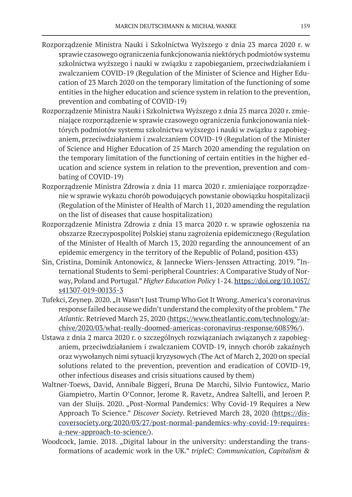- Rozporządzenie Ministra Nauki i Szkolnictwa Wyższego z dnia 23 marca 2020 r. w sprawie czasowego ograniczenia funkcjonowania niektórych podmiotów systemu szkolnictwa wyższego i nauki w związku z zapobieganiem, przeciwdziałaniem i zwalczaniem COVID-19 (Regulation of the Minister of Science and Higher Education of 23 March 2020 on the temporary limitation of the functioning of some entities in the higher education and science system in relation to the prevention, prevention and combating of COVID-19)
- Rozporządzenie Ministra Nauki i Szkolnictwa Wyższego z dnia 25 marca 2020 r. zmieniające rozporządzenie w sprawie czasowego ograniczenia funkcjonowania niektórych podmiotów systemu szkolnictwa wyższego i nauki w związku z zapobieganiem, przeciwdziałaniem i zwalczaniem COVID-19 (Regulation of the Minister of Science and Higher Education of 25 March 2020 amending the regulation on the temporary limitation of the functioning of certain entities in the higher education and science system in relation to the prevention, prevention and combating of COVID-19)
- Rozporządzenie Ministra Zdrowia z dnia 11 marca 2020 r. zmieniające rozporządzenie w sprawie wykazu chorób powodujących powstanie obowiązku hospitalizacji (Regulation of the Minister of Health of March 11, 2020 amending the regulation on the list of diseases that cause hospitalization)
- Rozporządzenie Ministra Zdrowia z dnia 13 marca 2020 r. w sprawie ogłoszenia na obszarze Rzeczypospolitej Polskiej stanu zagrożenia epidemicznego (Regulation of the Minister of Health of March 13, 2020 regarding the announcement of an epidemic emergency in the territory of the Republic of Poland, position 433)
- Sin, Cristina, Dominik Antonowicz, & Jannecke Wiers-Jenssen Attracting. 2019. "International Students to Semi-peripheral Countries: A Comparative Study of Norway, Poland and Portugal." *Higher Education Policy* 1-24. https://doi.org/10.1057/ s41307-019-00135-3
- Tufekci, Zeynep. 2020. "It Wasn't Just Trump Who Got It Wrong. America's coronavirus response failed because we didn't understand the complexity of the problem." *The Atlantic.* Retrieved March 25, 2020 (https://www.theatlantic.com/technology/archive/2020/03/what-really-doomed-americas-coronavirus-response/608596/).
- Ustawa z dnia 2 marca 2020 r. o szczególnych rozwiązaniach związanych z zapobieganiem, przeciwdziałaniem i zwalczaniem COVID-19, innych chorób zakaźnych oraz wywołanych nimi sytuacji kryzysowych (The Act of March 2, 2020 on special solutions related to the prevention, prevention and eradication of COVID-19, other infectious diseases and crisis situations caused by them)
- Waltner-Toews, David, Annibale Biggeri, Bruna De Marchi, Silvio Funtowicz, Mario Giampietro, Martin O'Connor, Jerome R. Ravetz, Andrea Saltelli, and Jeroen P. van der Sluijs. 2020. "Post-Normal Pandemics: Why Covid-19 Requires a New Approach To Science." *Discover Society*. Retrieved March 28, 2020 (https://discoversociety.org/2020/03/27/post-normal-pandemics-why-covid-19-requiresa-new-approach-to-science/).
- Woodcock, Jamie. 2018. "Digital labour in the university: understanding the transformations of academic work in the UK." *tripleC: Communication, Capitalism &*